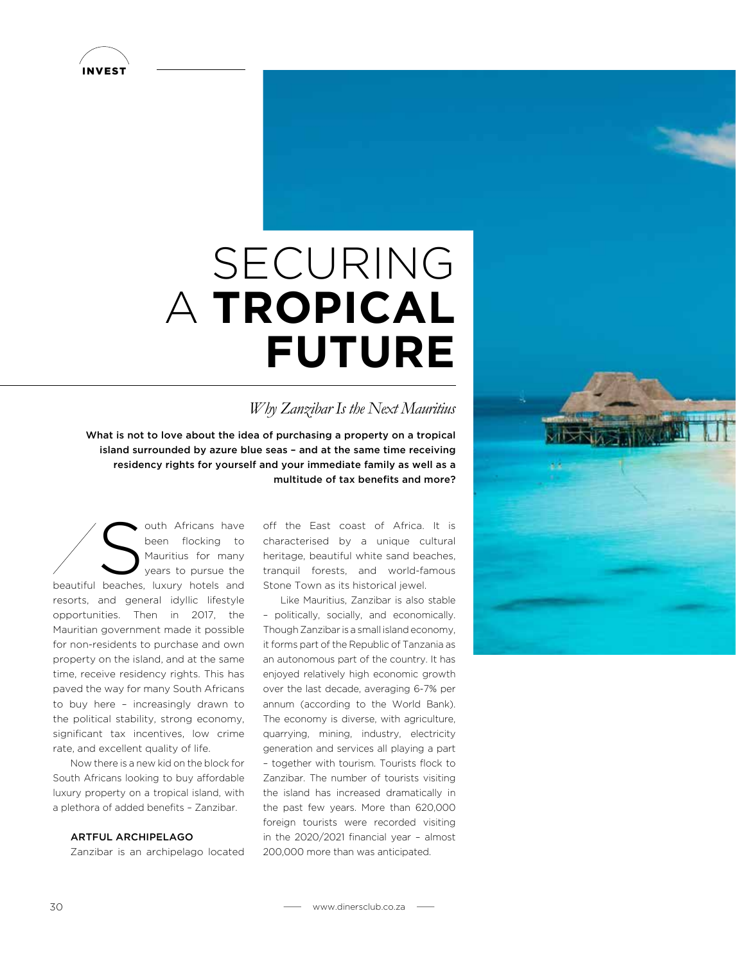

# SECURING A **TROPICAL FUTURE**

### *Why Zanzibar Is the Next Mauritius*

What is not to love about the idea of purchasing a property on a tropical island surrounded by azure blue seas – and at the same time receiving residency rights for yourself and your immediate family as well as a multitude of tax benefits and more?

South Africans have<br>been flocking to<br>Mauritius for many<br>beecker luxury batels and been flocking to Mauritius for many years to pursue the beautiful beaches, luxury hotels and resorts, and general idyllic lifestyle opportunities. Then in 2017, the Mauritian government made it possible for non-residents to purchase and own property on the island, and at the same time, receive residency rights. This has paved the way for many South Africans to buy here – increasingly drawn to the political stability, strong economy, significant tax incentives, low crime rate, and excellent quality of life.

Now there is a new kid on the block for South Africans looking to buy affordable luxury property on a tropical island, with a plethora of added benefits – Zanzibar.

#### ARTFUL ARCHIPELAGO

Zanzibar is an archipelago located

off the East coast of Africa. It is characterised by a unique cultural heritage, beautiful white sand beaches, tranquil forests, and world-famous Stone Town as its historical jewel.

Like Mauritius, Zanzibar is also stable – politically, socially, and economically. Though Zanzibar is a small island economy, it forms part of the Republic of Tanzania as an autonomous part of the country. It has enjoyed relatively high economic growth over the last decade, averaging 6-7% per annum (according to the World Bank). The economy is diverse, with agriculture, quarrying, mining, industry, electricity generation and services all playing a part – together with tourism. Tourists flock to Zanzibar. The number of tourists visiting the island has increased dramatically in the past few years. More than 620,000 foreign tourists were recorded visiting in the 2020/2021 financial year – almost 200,000 more than was anticipated.

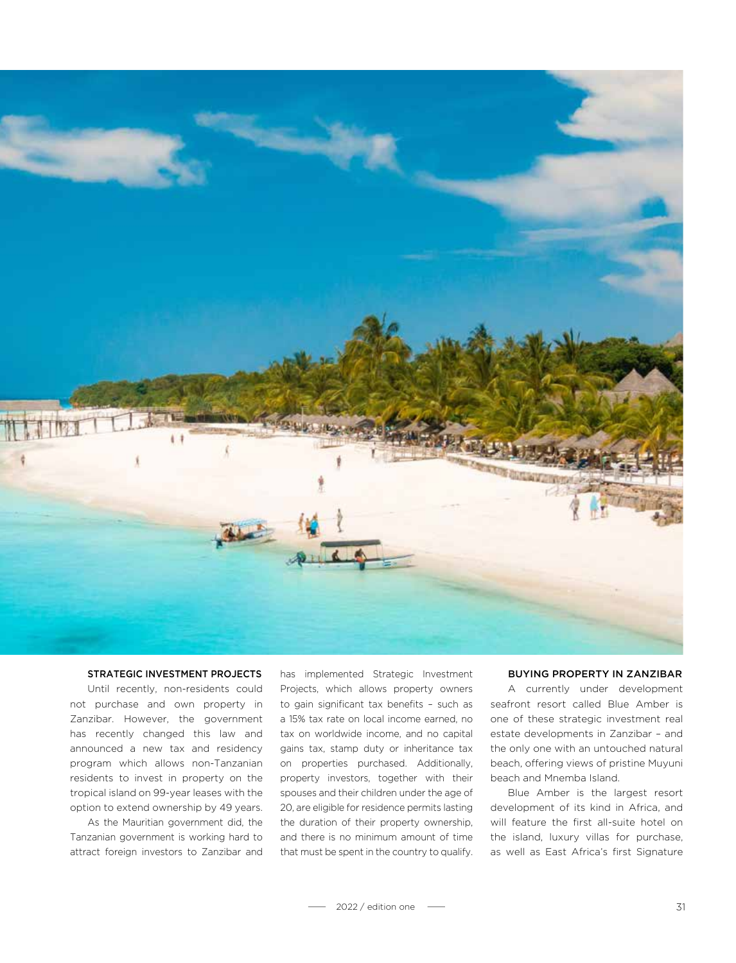

#### STRATEGIC INVESTMENT PROJECTS

Until recently, non-residents could not purchase and own property in Zanzibar. However, the government has recently changed this law and announced a new tax and residency program which allows non-Tanzanian residents to invest in property on the tropical island on 99-year leases with the option to extend ownership by 49 years.

As the Mauritian government did, the Tanzanian government is working hard to attract foreign investors to Zanzibar and has implemented Strategic Investment Projects, which allows property owners to gain significant tax benefits – such as a 15% tax rate on local income earned, no tax on worldwide income, and no capital gains tax, stamp duty or inheritance tax on properties purchased. Additionally, property investors, together with their spouses and their children under the age of 20, are eligible for residence permits lasting the duration of their property ownership, and there is no minimum amount of time that must be spent in the country to qualify.

#### BUYING PROPERTY IN ZANZIBAR

A currently under development seafront resort called Blue Amber is one of these strategic investment real estate developments in Zanzibar – and the only one with an untouched natural beach, offering views of pristine Muyuni beach and Mnemba Island.

Blue Amber is the largest resort development of its kind in Africa, and will feature the first all-suite hotel on the island, luxury villas for purchase, as well as East Africa's first Signature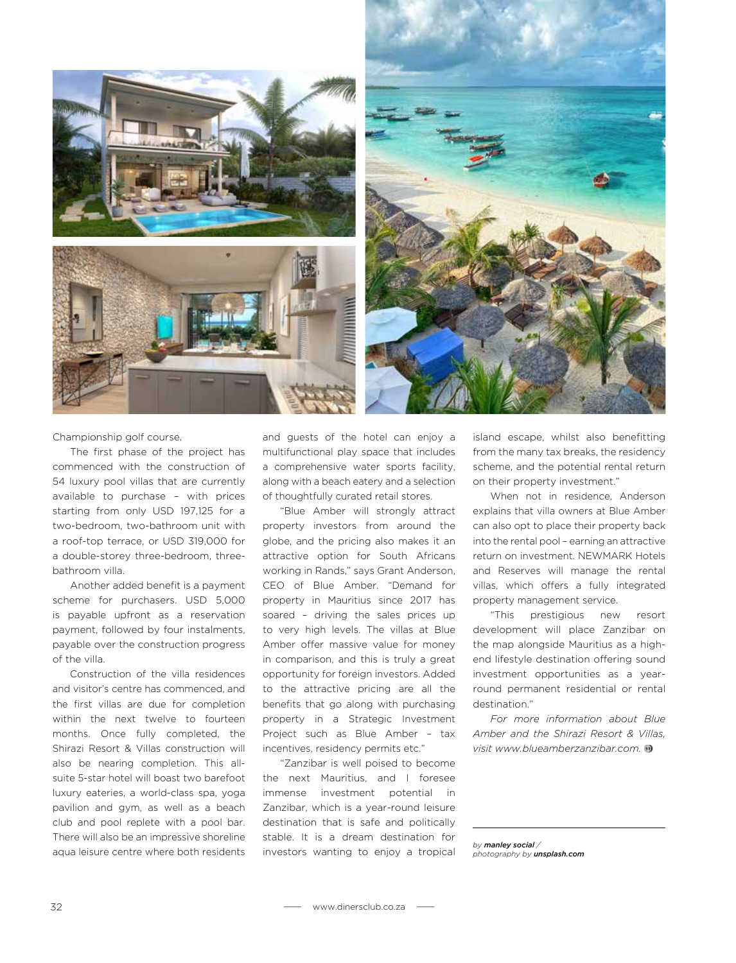



Championship golf course.

The first phase of the project has commenced with the construction of 54 luxury pool villas that are currently available to purchase – with prices starting from only USD 197,125 for a two-bedroom, two-bathroom unit with a roof-top terrace, or USD 319,000 for a double-storey three-bedroom, threebathroom villa.

Another added benefit is a payment scheme for purchasers. USD 5,000 is payable upfront as a reservation payment, followed by four instalments, payable over the construction progress of the villa.

Construction of the villa residences and visitor's centre has commenced, and the first villas are due for completion within the next twelve to fourteen months. Once fully completed, the Shirazi Resort & Villas construction will also be nearing completion. This allsuite 5-star hotel will boast two barefoot luxury eateries, a world-class spa, yoga pavilion and gym, as well as a beach club and pool replete with a pool bar. There will also be an impressive shoreline aqua leisure centre where both residents and guests of the hotel can enjoy a multifunctional play space that includes a comprehensive water sports facility, along with a beach eatery and a selection of thoughtfully curated retail stores.

"Blue Amber will strongly attract property investors from around the globe, and the pricing also makes it an attractive option for South Africans working in Rands," says Grant Anderson, CEO of Blue Amber. "Demand for property in Mauritius since 2017 has soared – driving the sales prices up to very high levels. The villas at Blue Amber offer massive value for money in comparison, and this is truly a great opportunity for foreign investors. Added to the attractive pricing are all the benefits that go along with purchasing property in a Strategic Investment Project such as Blue Amber – tax incentives, residency permits etc."

"Zanzibar is well poised to become the next Mauritius, and I foresee immense investment potential in Zanzibar, which is a year-round leisure destination that is safe and politically stable. It is a dream destination for investors wanting to enjoy a tropical island escape, whilst also benefitting from the many tax breaks, the residency scheme, and the potential rental return on their property investment."

When not in residence, Anderson explains that villa owners at Blue Amber can also opt to place their property back into the rental pool – earning an attractive return on investment. NEWMARK Hotels and Reserves will manage the rental villas, which offers a fully integrated property management service.

"This prestigious new resort development will place Zanzibar on the map alongside Mauritius as a highend lifestyle destination offering sound investment opportunities as a yearround permanent residential or rental destination."

*For more information about Blue Amber and the Shirazi Resort & Villas, visit www.blueamberzanzibar.com.* 

*by manley social / photography by unsplash.com*

32 www.dinersclub.co.za